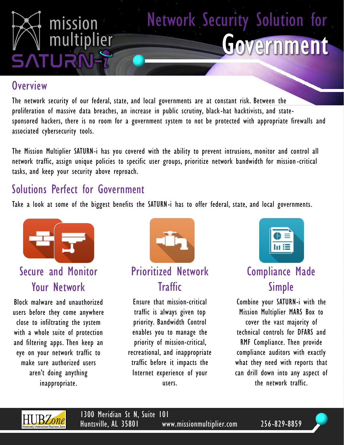

#### **Overview**

The network security of our federal, state, and local governments are at constant risk. Between the proliferation of massive data breaches, an increase in public scrutiny, black-hat hacktivists, and statesponsored hackers, there is no room for a government system to not be protected with appropriate firewalls and associated cybersecurity tools.

The Mission Multiplier SATURN-i has you covered with the ability to prevent intrusions, monitor and control all network traffic, assign unique policies to specific user groups, prioritize network bandwidth for mission-critical tasks, and keep your security above reproach.

### Solutions Perfect for Government

Take a look at some of the biggest benefits the SATURN-i has to offer federal, state, and local governments.



Secure and Monitor Your Network

Block malware and unauthorized users before they come anywhere close to infiltrating the system with a whole suite of protection and filtering apps. Then keep an eye on your network traffic to make sure authorized users aren't doing anything inappropriate.



### Prioritized Network **Traffic**

Ensure that mission-critical traffic is always given top priority. Bandwidth Control enables you to manage the priority of mission-critical, recreational, and inappropriate traffic before it impacts the Internet experience of your users.



### Compliance Made Simple

Combine your SATURN-i with the Mission Multiplier MARS Box to cover the vast majority of technical controls for DFARS and RMF Compliance. Then provide compliance auditors with exactly what they need with reports that can drill down into any aspect of the network traffic.



1300 Meridian St N, Suite 101 Huntsville, AL 35801 www.missionmultiplier.com 256-829-8859